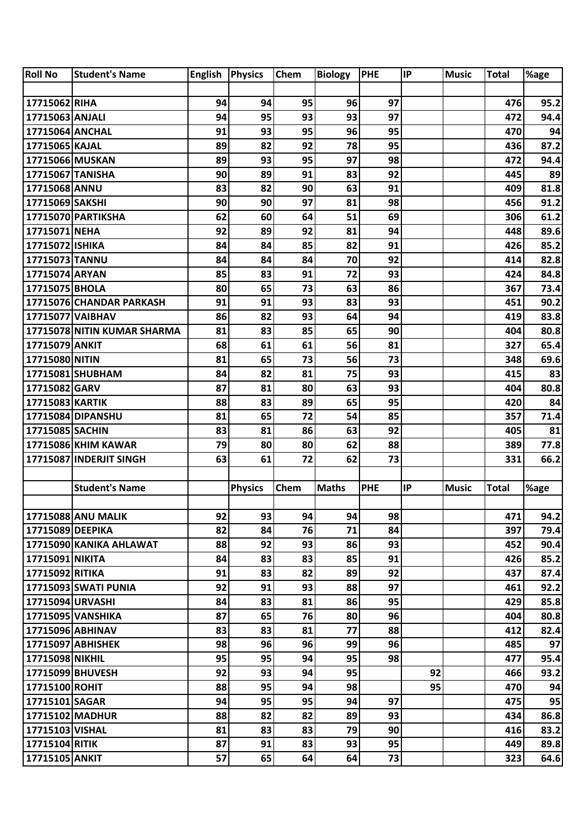| <b>Roll No</b>   | <b>Student's Name</b>       | <b>English</b> | <b>Physics</b> | Chem | <b>Biology</b> | <b>PHE</b> | IP | <b>Music</b> | <b>Total</b> | %age |
|------------------|-----------------------------|----------------|----------------|------|----------------|------------|----|--------------|--------------|------|
|                  |                             |                |                |      |                |            |    |              |              |      |
| 17715062 RIHA    |                             | 94             | 94             | 95   | 96             | 97         |    |              | 476          | 95.2 |
| 17715063 ANJALI  |                             | 94             | 95             | 93   | 93             | 97         |    |              | 472          | 94.4 |
| 17715064 ANCHAL  |                             | 91             | 93             | 95   | 96             | 95         |    |              | 470          | 94   |
| 17715065 KAJAL   |                             | 89             | 82             | 92   | 78             | 95         |    |              | 436          | 87.2 |
| 17715066 MUSKAN  |                             | 89             | 93             | 95   | 97             | 98         |    |              | 472          | 94.4 |
| 17715067 TANISHA |                             | 90             | 89             | 91   | 83             | 92         |    |              | 445          | 89   |
| 17715068 ANNU    |                             | 83             | 82             | 90   | 63             | 91         |    |              | 409          | 81.8 |
| 17715069 SAKSHI  |                             | 90             | 90             | 97   | 81             | 98         |    |              | 456          | 91.2 |
|                  | 17715070 PARTIKSHA          | 62             | 60             | 64   | 51             | 69         |    |              | 306          | 61.2 |
| 17715071 NEHA    |                             | 92             | 89             | 92   | 81             | 94         |    |              | 448          | 89.6 |
| 17715072 ISHIKA  |                             | 84             | 84             | 85   | 82             | 91         |    |              | 426          | 85.2 |
| 17715073 TANNU   |                             | 84             | 84             | 84   | 70             | 92         |    |              | 414          | 82.8 |
| 17715074 ARYAN   |                             | 85             | 83             | 91   | 72             | 93         |    |              | 424          | 84.8 |
| 17715075 BHOLA   |                             | 80             | 65             | 73   | 63             | 86         |    |              | 367          | 73.4 |
|                  | 17715076 CHANDAR PARKASH    | 91             | 91             | 93   | 83             | 93         |    |              | 451          | 90.2 |
| 17715077 VAIBHAV |                             | 86             | 82             | 93   | 64             | 94         |    |              | 419          | 83.8 |
|                  | 17715078 NITIN KUMAR SHARMA | 81             | 83             | 85   | 65             | 90         |    |              | 404          | 80.8 |
| 17715079 ANKIT   |                             | 68             | 61             | 61   | 56             | 81         |    |              | 327          | 65.4 |
| 17715080 NITIN   |                             | 81             | 65             | 73   | 56             | 73         |    |              | 348          | 69.6 |
|                  | 17715081 SHUBHAM            | 84             | 82             | 81   | 75             | 93         |    |              | 415          | 83   |
| 17715082 GARV    |                             | 87             | 81             | 80   | 63             | 93         |    |              | 404          | 80.8 |
| 17715083 KARTIK  |                             | 88             | 83             | 89   | 65             | 95         |    |              | 420          | 84   |
|                  | 17715084 DIPANSHU           | 81             | 65             | 72   | 54             | 85         |    |              | 357          | 71.4 |
| 17715085 SACHIN  |                             | 83             | 81             | 86   | 63             | 92         |    |              | 405          | 81   |
|                  | 17715086 KHIM KAWAR         | 79             | 80             | 80   | 62             | 88         |    |              | 389          | 77.8 |
|                  | 17715087 INDERJIT SINGH     | 63             | 61             | 72   | 62             | 73         |    |              | 331          | 66.2 |
|                  |                             |                |                |      |                |            |    |              |              |      |
|                  | <b>Student's Name</b>       |                | <b>Physics</b> | Chem | <b>Maths</b>   | <b>PHE</b> | IP | <b>Music</b> | <b>Total</b> | %age |
|                  |                             |                |                |      |                |            |    |              |              |      |
|                  | <b>17715088 ANU MALIK</b>   | 92             | 93             | 94   | 94             | 98         |    |              | 471          | 94.2 |
| 17715089 DEEPIKA |                             | 82             | 84             | 76   | 71             | 84         |    |              | 397          | 79.4 |
|                  | 17715090 KANIKA AHLAWAT     | 88             | 92             | 93   | 86             | 93         |    |              | 452          | 90.4 |
| 17715091 NIKITA  |                             | 84             | 83             | 83   | 85             | 91         |    |              | 426          | 85.2 |
| 17715092 RITIKA  |                             | 91             | 83             | 82   | 89             | 92         |    |              | 437          | 87.4 |
|                  | 17715093 SWATI PUNIA        | 92             | 91             | 93   | 88             | 97         |    |              | 461          | 92.2 |
| 17715094 URVASHI |                             | 84             | 83             | 81   | 86             | 95         |    |              | 429          | 85.8 |
|                  | 17715095 VANSHIKA           | 87             | 65             | 76   | 80             | 96         |    |              | 404          | 80.8 |
|                  | 17715096 ABHINAV            | 83             | 83             | 81   | 77             | 88         |    |              | 412          | 82.4 |
|                  | 17715097 ABHISHEK           | 98             | 96             | 96   | 99             | 96         |    |              | 485          | 97   |
| 17715098 NIKHIL  |                             | 95             | 95             | 94   | 95             | 98         |    |              | 477          | 95.4 |
| 17715099 BHUVESH |                             | 92             | 93             | 94   | 95             |            | 92 |              | 466          | 93.2 |
| 17715100 ROHIT   |                             | 88             | 95             | 94   | 98             |            | 95 |              | 470          | 94   |
| 17715101 SAGAR   |                             | 94             | 95             | 95   | 94             | 97         |    |              | 475          | 95   |
|                  | 17715102 MADHUR             | 88             | 82             | 82   | 89             | 93         |    |              | 434          | 86.8 |
| 17715103 VISHAL  |                             | 81             | 83             | 83   | 79             | 90         |    |              | 416          | 83.2 |
| 17715104 RITIK   |                             | 87             | 91             | 83   | 93             | 95         |    |              | 449          | 89.8 |
|                  | 17715105 ANKIT              | 57             | 65             | 64   | 64             | 73         |    |              | 323          | 64.6 |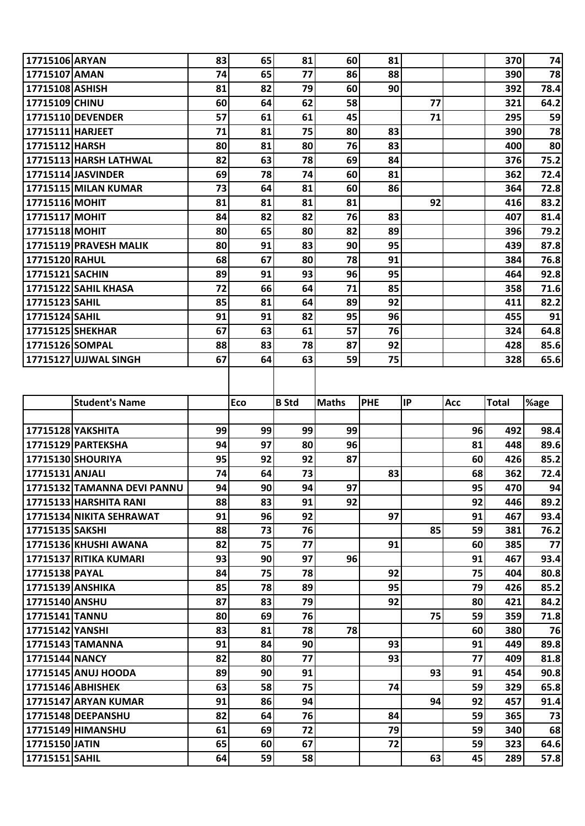| 17715106 ARYAN<br>81<br>74<br>83<br>65<br>60<br>81<br>370<br>77<br>17715107 AMAN<br>74<br>65<br>86<br>88<br>78<br>390<br>79<br>90<br>17715108 ASHISH<br>81<br>82<br>60<br>392<br>78.4<br>77<br>62<br>58<br>64.2<br>17715109 CHINU<br>60<br>64<br>321<br>57<br>61<br>17715110 DEVENDER<br>61<br>45<br>71<br>59<br>295<br>17715111 HARJEET<br>71<br>75<br>78<br>81<br>80<br>83<br>390<br>17715112 HARSH<br>80<br>81<br>80<br>76<br>83<br>80<br>400<br>78<br>75.2<br>17715113 HARSH LATHWAL<br>82<br>63<br>69<br>84<br>376<br>17715114 JASVINDER<br>78<br>81<br>69<br>74<br>60<br>362<br>72.4<br>73<br>64<br>81<br>60<br>72.8<br><b>17715115 MILAN KUMAR</b><br>86<br>364<br>92<br>83.2<br>81<br>81<br>81<br>81<br>17715116 MOHIT<br>416<br>17715117 MOHIT<br>84<br>82<br>82<br>76<br>83<br>407<br>81.4<br>65<br>89<br>79.2<br>17715118 MOHIT<br>80<br>80<br>82<br>396<br>17715119 PRAVESH MALIK<br>80<br>91<br>83<br>90<br>95<br>87.8<br>439<br>17715120 RAHUL<br>68<br>67<br>80<br>78<br>91<br>76.8<br>384<br>93<br>96<br>95<br>92.8<br><b>17715121 SACHIN</b><br>89<br>91<br>464<br>72<br>64<br>71<br>85<br>71.6<br><b>17715122 SAHIL KHASA</b><br>66<br>358<br>17715123 SAHIL<br>85<br>89<br>92<br>82.2<br>81<br>64<br>411<br>82<br>96<br>17715124 SAHIL<br>91<br>91<br>95<br>91<br>455<br>17715125 SHEKHAR<br>67<br>63<br>57<br>76<br>61<br>64.8<br>324<br>92<br>17715126 SOMPAL<br>88<br>83<br>78<br>87<br>85.6<br>428<br>63<br>59<br>75<br>17715127 UJJWAL SINGH<br>67<br>64<br>65.6<br>328<br><b>Student's Name</b><br>Eco<br>IP<br><b>Total</b><br><b>B</b> Std<br><b>Maths</b><br><b>PHE</b><br>Acc<br>%age<br>17715128 YAKSHITA<br>99<br>99<br>99<br>96<br>98.4<br>99<br>492<br>17715129 PARTEKSHA<br>97<br>96<br>94<br>80<br>81<br>448<br>89.6<br>17715130 SHOURIYA<br>95<br>92<br>87<br>85.2<br>92<br>60<br>426<br>17715131 ANJALI<br>73<br>362<br>74<br>64<br>83<br>68<br>72.4<br>17715132 TAMANNA DEVI PANNU<br>90<br>94<br>95<br>94<br>94<br>97<br>470<br>83<br>91<br>92<br>92<br>89.2<br>17715133 HARSHITA RANI<br>88<br>446<br>17715134 NIKITA SEHRAWAT<br>91<br>96<br>92<br>97<br>91<br>467<br>93.4<br>76<br>17715135 SAKSHI<br>88<br>73<br>85<br>59<br>76.2<br>381<br>75<br>17715136 KHUSHI AWANA<br>82<br>77<br>91<br>60<br>385<br>77<br>93<br>97<br>17715137 RITIKA KUMARI<br>90<br>96<br>91<br>467<br>93.4<br>75<br>75<br>17715138 PAYAL<br>84<br>78<br>92<br>80.8<br>404<br>78<br>89<br>95<br>79<br>17715139 ANSHIKA<br>85<br>85.2<br>426<br>87<br>83<br>79<br>92<br>84.2<br>17715140 ANSHU<br>80<br>421<br>17715141 TANNU<br>69<br>76<br>75<br>59<br>80<br>71.8<br>359<br>78<br>17715142 YANSHI<br>83<br>81<br>78<br>60<br>76<br>380<br>91<br>84<br>90<br>93<br>91<br>89.8<br>17715143 TAMANNA<br>449<br>77<br>82<br>80<br>93<br>77<br>81.8<br>17715144 NANCY<br>409<br>90<br>91<br>91<br>17715145 ANUJ HOODA<br>89<br>93<br>90.8<br>454<br>63<br>58<br>75<br>59<br>17715146 ABHISHEK<br>74<br>65.8<br>329<br>94<br>92<br>17715147 ARYAN KUMAR<br>91<br>86<br>94<br>457<br>91.4<br>64<br>76<br>59<br>17715148 DEEPANSHU<br>82<br>84<br>365<br>73<br>72<br>79<br>17715149 HIMANSHU<br>61<br>69<br>59<br>68<br>340<br>67<br>59<br>17715150 JATIN<br>65<br>60<br>72<br>64.6<br>323<br>17715151 SAHIL<br>64<br>59<br>58<br>63<br>45<br>289<br>57.8 |  |  |  |  |  |  |
|----------------------------------------------------------------------------------------------------------------------------------------------------------------------------------------------------------------------------------------------------------------------------------------------------------------------------------------------------------------------------------------------------------------------------------------------------------------------------------------------------------------------------------------------------------------------------------------------------------------------------------------------------------------------------------------------------------------------------------------------------------------------------------------------------------------------------------------------------------------------------------------------------------------------------------------------------------------------------------------------------------------------------------------------------------------------------------------------------------------------------------------------------------------------------------------------------------------------------------------------------------------------------------------------------------------------------------------------------------------------------------------------------------------------------------------------------------------------------------------------------------------------------------------------------------------------------------------------------------------------------------------------------------------------------------------------------------------------------------------------------------------------------------------------------------------------------------------------------------------------------------------------------------------------------------------------------------------------------------------------------------------------------------------------------------------------------------------------------------------------------------------------------------------------------------------------------------------------------------------------------------------------------------------------------------------------------------------------------------------------------------------------------------------------------------------------------------------------------------------------------------------------------------------------------------------------------------------------------------------------------------------------------------------------------------------------------------------------------------------------------------------------------------------------------------------------------------------------------------------------------------------------------------------------------------------------------------------------------------------------------------------------------------------------------------------------------------------------------------------------------------------------------------------------------------------------------------------------------------------------------------------------|--|--|--|--|--|--|
|                                                                                                                                                                                                                                                                                                                                                                                                                                                                                                                                                                                                                                                                                                                                                                                                                                                                                                                                                                                                                                                                                                                                                                                                                                                                                                                                                                                                                                                                                                                                                                                                                                                                                                                                                                                                                                                                                                                                                                                                                                                                                                                                                                                                                                                                                                                                                                                                                                                                                                                                                                                                                                                                                                                                                                                                                                                                                                                                                                                                                                                                                                                                                                                                                                                                      |  |  |  |  |  |  |
|                                                                                                                                                                                                                                                                                                                                                                                                                                                                                                                                                                                                                                                                                                                                                                                                                                                                                                                                                                                                                                                                                                                                                                                                                                                                                                                                                                                                                                                                                                                                                                                                                                                                                                                                                                                                                                                                                                                                                                                                                                                                                                                                                                                                                                                                                                                                                                                                                                                                                                                                                                                                                                                                                                                                                                                                                                                                                                                                                                                                                                                                                                                                                                                                                                                                      |  |  |  |  |  |  |
|                                                                                                                                                                                                                                                                                                                                                                                                                                                                                                                                                                                                                                                                                                                                                                                                                                                                                                                                                                                                                                                                                                                                                                                                                                                                                                                                                                                                                                                                                                                                                                                                                                                                                                                                                                                                                                                                                                                                                                                                                                                                                                                                                                                                                                                                                                                                                                                                                                                                                                                                                                                                                                                                                                                                                                                                                                                                                                                                                                                                                                                                                                                                                                                                                                                                      |  |  |  |  |  |  |
|                                                                                                                                                                                                                                                                                                                                                                                                                                                                                                                                                                                                                                                                                                                                                                                                                                                                                                                                                                                                                                                                                                                                                                                                                                                                                                                                                                                                                                                                                                                                                                                                                                                                                                                                                                                                                                                                                                                                                                                                                                                                                                                                                                                                                                                                                                                                                                                                                                                                                                                                                                                                                                                                                                                                                                                                                                                                                                                                                                                                                                                                                                                                                                                                                                                                      |  |  |  |  |  |  |
|                                                                                                                                                                                                                                                                                                                                                                                                                                                                                                                                                                                                                                                                                                                                                                                                                                                                                                                                                                                                                                                                                                                                                                                                                                                                                                                                                                                                                                                                                                                                                                                                                                                                                                                                                                                                                                                                                                                                                                                                                                                                                                                                                                                                                                                                                                                                                                                                                                                                                                                                                                                                                                                                                                                                                                                                                                                                                                                                                                                                                                                                                                                                                                                                                                                                      |  |  |  |  |  |  |
|                                                                                                                                                                                                                                                                                                                                                                                                                                                                                                                                                                                                                                                                                                                                                                                                                                                                                                                                                                                                                                                                                                                                                                                                                                                                                                                                                                                                                                                                                                                                                                                                                                                                                                                                                                                                                                                                                                                                                                                                                                                                                                                                                                                                                                                                                                                                                                                                                                                                                                                                                                                                                                                                                                                                                                                                                                                                                                                                                                                                                                                                                                                                                                                                                                                                      |  |  |  |  |  |  |
|                                                                                                                                                                                                                                                                                                                                                                                                                                                                                                                                                                                                                                                                                                                                                                                                                                                                                                                                                                                                                                                                                                                                                                                                                                                                                                                                                                                                                                                                                                                                                                                                                                                                                                                                                                                                                                                                                                                                                                                                                                                                                                                                                                                                                                                                                                                                                                                                                                                                                                                                                                                                                                                                                                                                                                                                                                                                                                                                                                                                                                                                                                                                                                                                                                                                      |  |  |  |  |  |  |
|                                                                                                                                                                                                                                                                                                                                                                                                                                                                                                                                                                                                                                                                                                                                                                                                                                                                                                                                                                                                                                                                                                                                                                                                                                                                                                                                                                                                                                                                                                                                                                                                                                                                                                                                                                                                                                                                                                                                                                                                                                                                                                                                                                                                                                                                                                                                                                                                                                                                                                                                                                                                                                                                                                                                                                                                                                                                                                                                                                                                                                                                                                                                                                                                                                                                      |  |  |  |  |  |  |
|                                                                                                                                                                                                                                                                                                                                                                                                                                                                                                                                                                                                                                                                                                                                                                                                                                                                                                                                                                                                                                                                                                                                                                                                                                                                                                                                                                                                                                                                                                                                                                                                                                                                                                                                                                                                                                                                                                                                                                                                                                                                                                                                                                                                                                                                                                                                                                                                                                                                                                                                                                                                                                                                                                                                                                                                                                                                                                                                                                                                                                                                                                                                                                                                                                                                      |  |  |  |  |  |  |
|                                                                                                                                                                                                                                                                                                                                                                                                                                                                                                                                                                                                                                                                                                                                                                                                                                                                                                                                                                                                                                                                                                                                                                                                                                                                                                                                                                                                                                                                                                                                                                                                                                                                                                                                                                                                                                                                                                                                                                                                                                                                                                                                                                                                                                                                                                                                                                                                                                                                                                                                                                                                                                                                                                                                                                                                                                                                                                                                                                                                                                                                                                                                                                                                                                                                      |  |  |  |  |  |  |
|                                                                                                                                                                                                                                                                                                                                                                                                                                                                                                                                                                                                                                                                                                                                                                                                                                                                                                                                                                                                                                                                                                                                                                                                                                                                                                                                                                                                                                                                                                                                                                                                                                                                                                                                                                                                                                                                                                                                                                                                                                                                                                                                                                                                                                                                                                                                                                                                                                                                                                                                                                                                                                                                                                                                                                                                                                                                                                                                                                                                                                                                                                                                                                                                                                                                      |  |  |  |  |  |  |
|                                                                                                                                                                                                                                                                                                                                                                                                                                                                                                                                                                                                                                                                                                                                                                                                                                                                                                                                                                                                                                                                                                                                                                                                                                                                                                                                                                                                                                                                                                                                                                                                                                                                                                                                                                                                                                                                                                                                                                                                                                                                                                                                                                                                                                                                                                                                                                                                                                                                                                                                                                                                                                                                                                                                                                                                                                                                                                                                                                                                                                                                                                                                                                                                                                                                      |  |  |  |  |  |  |
|                                                                                                                                                                                                                                                                                                                                                                                                                                                                                                                                                                                                                                                                                                                                                                                                                                                                                                                                                                                                                                                                                                                                                                                                                                                                                                                                                                                                                                                                                                                                                                                                                                                                                                                                                                                                                                                                                                                                                                                                                                                                                                                                                                                                                                                                                                                                                                                                                                                                                                                                                                                                                                                                                                                                                                                                                                                                                                                                                                                                                                                                                                                                                                                                                                                                      |  |  |  |  |  |  |
|                                                                                                                                                                                                                                                                                                                                                                                                                                                                                                                                                                                                                                                                                                                                                                                                                                                                                                                                                                                                                                                                                                                                                                                                                                                                                                                                                                                                                                                                                                                                                                                                                                                                                                                                                                                                                                                                                                                                                                                                                                                                                                                                                                                                                                                                                                                                                                                                                                                                                                                                                                                                                                                                                                                                                                                                                                                                                                                                                                                                                                                                                                                                                                                                                                                                      |  |  |  |  |  |  |
|                                                                                                                                                                                                                                                                                                                                                                                                                                                                                                                                                                                                                                                                                                                                                                                                                                                                                                                                                                                                                                                                                                                                                                                                                                                                                                                                                                                                                                                                                                                                                                                                                                                                                                                                                                                                                                                                                                                                                                                                                                                                                                                                                                                                                                                                                                                                                                                                                                                                                                                                                                                                                                                                                                                                                                                                                                                                                                                                                                                                                                                                                                                                                                                                                                                                      |  |  |  |  |  |  |
|                                                                                                                                                                                                                                                                                                                                                                                                                                                                                                                                                                                                                                                                                                                                                                                                                                                                                                                                                                                                                                                                                                                                                                                                                                                                                                                                                                                                                                                                                                                                                                                                                                                                                                                                                                                                                                                                                                                                                                                                                                                                                                                                                                                                                                                                                                                                                                                                                                                                                                                                                                                                                                                                                                                                                                                                                                                                                                                                                                                                                                                                                                                                                                                                                                                                      |  |  |  |  |  |  |
|                                                                                                                                                                                                                                                                                                                                                                                                                                                                                                                                                                                                                                                                                                                                                                                                                                                                                                                                                                                                                                                                                                                                                                                                                                                                                                                                                                                                                                                                                                                                                                                                                                                                                                                                                                                                                                                                                                                                                                                                                                                                                                                                                                                                                                                                                                                                                                                                                                                                                                                                                                                                                                                                                                                                                                                                                                                                                                                                                                                                                                                                                                                                                                                                                                                                      |  |  |  |  |  |  |
|                                                                                                                                                                                                                                                                                                                                                                                                                                                                                                                                                                                                                                                                                                                                                                                                                                                                                                                                                                                                                                                                                                                                                                                                                                                                                                                                                                                                                                                                                                                                                                                                                                                                                                                                                                                                                                                                                                                                                                                                                                                                                                                                                                                                                                                                                                                                                                                                                                                                                                                                                                                                                                                                                                                                                                                                                                                                                                                                                                                                                                                                                                                                                                                                                                                                      |  |  |  |  |  |  |
|                                                                                                                                                                                                                                                                                                                                                                                                                                                                                                                                                                                                                                                                                                                                                                                                                                                                                                                                                                                                                                                                                                                                                                                                                                                                                                                                                                                                                                                                                                                                                                                                                                                                                                                                                                                                                                                                                                                                                                                                                                                                                                                                                                                                                                                                                                                                                                                                                                                                                                                                                                                                                                                                                                                                                                                                                                                                                                                                                                                                                                                                                                                                                                                                                                                                      |  |  |  |  |  |  |
|                                                                                                                                                                                                                                                                                                                                                                                                                                                                                                                                                                                                                                                                                                                                                                                                                                                                                                                                                                                                                                                                                                                                                                                                                                                                                                                                                                                                                                                                                                                                                                                                                                                                                                                                                                                                                                                                                                                                                                                                                                                                                                                                                                                                                                                                                                                                                                                                                                                                                                                                                                                                                                                                                                                                                                                                                                                                                                                                                                                                                                                                                                                                                                                                                                                                      |  |  |  |  |  |  |
|                                                                                                                                                                                                                                                                                                                                                                                                                                                                                                                                                                                                                                                                                                                                                                                                                                                                                                                                                                                                                                                                                                                                                                                                                                                                                                                                                                                                                                                                                                                                                                                                                                                                                                                                                                                                                                                                                                                                                                                                                                                                                                                                                                                                                                                                                                                                                                                                                                                                                                                                                                                                                                                                                                                                                                                                                                                                                                                                                                                                                                                                                                                                                                                                                                                                      |  |  |  |  |  |  |
|                                                                                                                                                                                                                                                                                                                                                                                                                                                                                                                                                                                                                                                                                                                                                                                                                                                                                                                                                                                                                                                                                                                                                                                                                                                                                                                                                                                                                                                                                                                                                                                                                                                                                                                                                                                                                                                                                                                                                                                                                                                                                                                                                                                                                                                                                                                                                                                                                                                                                                                                                                                                                                                                                                                                                                                                                                                                                                                                                                                                                                                                                                                                                                                                                                                                      |  |  |  |  |  |  |
|                                                                                                                                                                                                                                                                                                                                                                                                                                                                                                                                                                                                                                                                                                                                                                                                                                                                                                                                                                                                                                                                                                                                                                                                                                                                                                                                                                                                                                                                                                                                                                                                                                                                                                                                                                                                                                                                                                                                                                                                                                                                                                                                                                                                                                                                                                                                                                                                                                                                                                                                                                                                                                                                                                                                                                                                                                                                                                                                                                                                                                                                                                                                                                                                                                                                      |  |  |  |  |  |  |
|                                                                                                                                                                                                                                                                                                                                                                                                                                                                                                                                                                                                                                                                                                                                                                                                                                                                                                                                                                                                                                                                                                                                                                                                                                                                                                                                                                                                                                                                                                                                                                                                                                                                                                                                                                                                                                                                                                                                                                                                                                                                                                                                                                                                                                                                                                                                                                                                                                                                                                                                                                                                                                                                                                                                                                                                                                                                                                                                                                                                                                                                                                                                                                                                                                                                      |  |  |  |  |  |  |
|                                                                                                                                                                                                                                                                                                                                                                                                                                                                                                                                                                                                                                                                                                                                                                                                                                                                                                                                                                                                                                                                                                                                                                                                                                                                                                                                                                                                                                                                                                                                                                                                                                                                                                                                                                                                                                                                                                                                                                                                                                                                                                                                                                                                                                                                                                                                                                                                                                                                                                                                                                                                                                                                                                                                                                                                                                                                                                                                                                                                                                                                                                                                                                                                                                                                      |  |  |  |  |  |  |
|                                                                                                                                                                                                                                                                                                                                                                                                                                                                                                                                                                                                                                                                                                                                                                                                                                                                                                                                                                                                                                                                                                                                                                                                                                                                                                                                                                                                                                                                                                                                                                                                                                                                                                                                                                                                                                                                                                                                                                                                                                                                                                                                                                                                                                                                                                                                                                                                                                                                                                                                                                                                                                                                                                                                                                                                                                                                                                                                                                                                                                                                                                                                                                                                                                                                      |  |  |  |  |  |  |
|                                                                                                                                                                                                                                                                                                                                                                                                                                                                                                                                                                                                                                                                                                                                                                                                                                                                                                                                                                                                                                                                                                                                                                                                                                                                                                                                                                                                                                                                                                                                                                                                                                                                                                                                                                                                                                                                                                                                                                                                                                                                                                                                                                                                                                                                                                                                                                                                                                                                                                                                                                                                                                                                                                                                                                                                                                                                                                                                                                                                                                                                                                                                                                                                                                                                      |  |  |  |  |  |  |
|                                                                                                                                                                                                                                                                                                                                                                                                                                                                                                                                                                                                                                                                                                                                                                                                                                                                                                                                                                                                                                                                                                                                                                                                                                                                                                                                                                                                                                                                                                                                                                                                                                                                                                                                                                                                                                                                                                                                                                                                                                                                                                                                                                                                                                                                                                                                                                                                                                                                                                                                                                                                                                                                                                                                                                                                                                                                                                                                                                                                                                                                                                                                                                                                                                                                      |  |  |  |  |  |  |
|                                                                                                                                                                                                                                                                                                                                                                                                                                                                                                                                                                                                                                                                                                                                                                                                                                                                                                                                                                                                                                                                                                                                                                                                                                                                                                                                                                                                                                                                                                                                                                                                                                                                                                                                                                                                                                                                                                                                                                                                                                                                                                                                                                                                                                                                                                                                                                                                                                                                                                                                                                                                                                                                                                                                                                                                                                                                                                                                                                                                                                                                                                                                                                                                                                                                      |  |  |  |  |  |  |
|                                                                                                                                                                                                                                                                                                                                                                                                                                                                                                                                                                                                                                                                                                                                                                                                                                                                                                                                                                                                                                                                                                                                                                                                                                                                                                                                                                                                                                                                                                                                                                                                                                                                                                                                                                                                                                                                                                                                                                                                                                                                                                                                                                                                                                                                                                                                                                                                                                                                                                                                                                                                                                                                                                                                                                                                                                                                                                                                                                                                                                                                                                                                                                                                                                                                      |  |  |  |  |  |  |
|                                                                                                                                                                                                                                                                                                                                                                                                                                                                                                                                                                                                                                                                                                                                                                                                                                                                                                                                                                                                                                                                                                                                                                                                                                                                                                                                                                                                                                                                                                                                                                                                                                                                                                                                                                                                                                                                                                                                                                                                                                                                                                                                                                                                                                                                                                                                                                                                                                                                                                                                                                                                                                                                                                                                                                                                                                                                                                                                                                                                                                                                                                                                                                                                                                                                      |  |  |  |  |  |  |
|                                                                                                                                                                                                                                                                                                                                                                                                                                                                                                                                                                                                                                                                                                                                                                                                                                                                                                                                                                                                                                                                                                                                                                                                                                                                                                                                                                                                                                                                                                                                                                                                                                                                                                                                                                                                                                                                                                                                                                                                                                                                                                                                                                                                                                                                                                                                                                                                                                                                                                                                                                                                                                                                                                                                                                                                                                                                                                                                                                                                                                                                                                                                                                                                                                                                      |  |  |  |  |  |  |
|                                                                                                                                                                                                                                                                                                                                                                                                                                                                                                                                                                                                                                                                                                                                                                                                                                                                                                                                                                                                                                                                                                                                                                                                                                                                                                                                                                                                                                                                                                                                                                                                                                                                                                                                                                                                                                                                                                                                                                                                                                                                                                                                                                                                                                                                                                                                                                                                                                                                                                                                                                                                                                                                                                                                                                                                                                                                                                                                                                                                                                                                                                                                                                                                                                                                      |  |  |  |  |  |  |
|                                                                                                                                                                                                                                                                                                                                                                                                                                                                                                                                                                                                                                                                                                                                                                                                                                                                                                                                                                                                                                                                                                                                                                                                                                                                                                                                                                                                                                                                                                                                                                                                                                                                                                                                                                                                                                                                                                                                                                                                                                                                                                                                                                                                                                                                                                                                                                                                                                                                                                                                                                                                                                                                                                                                                                                                                                                                                                                                                                                                                                                                                                                                                                                                                                                                      |  |  |  |  |  |  |
|                                                                                                                                                                                                                                                                                                                                                                                                                                                                                                                                                                                                                                                                                                                                                                                                                                                                                                                                                                                                                                                                                                                                                                                                                                                                                                                                                                                                                                                                                                                                                                                                                                                                                                                                                                                                                                                                                                                                                                                                                                                                                                                                                                                                                                                                                                                                                                                                                                                                                                                                                                                                                                                                                                                                                                                                                                                                                                                                                                                                                                                                                                                                                                                                                                                                      |  |  |  |  |  |  |
|                                                                                                                                                                                                                                                                                                                                                                                                                                                                                                                                                                                                                                                                                                                                                                                                                                                                                                                                                                                                                                                                                                                                                                                                                                                                                                                                                                                                                                                                                                                                                                                                                                                                                                                                                                                                                                                                                                                                                                                                                                                                                                                                                                                                                                                                                                                                                                                                                                                                                                                                                                                                                                                                                                                                                                                                                                                                                                                                                                                                                                                                                                                                                                                                                                                                      |  |  |  |  |  |  |
|                                                                                                                                                                                                                                                                                                                                                                                                                                                                                                                                                                                                                                                                                                                                                                                                                                                                                                                                                                                                                                                                                                                                                                                                                                                                                                                                                                                                                                                                                                                                                                                                                                                                                                                                                                                                                                                                                                                                                                                                                                                                                                                                                                                                                                                                                                                                                                                                                                                                                                                                                                                                                                                                                                                                                                                                                                                                                                                                                                                                                                                                                                                                                                                                                                                                      |  |  |  |  |  |  |
|                                                                                                                                                                                                                                                                                                                                                                                                                                                                                                                                                                                                                                                                                                                                                                                                                                                                                                                                                                                                                                                                                                                                                                                                                                                                                                                                                                                                                                                                                                                                                                                                                                                                                                                                                                                                                                                                                                                                                                                                                                                                                                                                                                                                                                                                                                                                                                                                                                                                                                                                                                                                                                                                                                                                                                                                                                                                                                                                                                                                                                                                                                                                                                                                                                                                      |  |  |  |  |  |  |
|                                                                                                                                                                                                                                                                                                                                                                                                                                                                                                                                                                                                                                                                                                                                                                                                                                                                                                                                                                                                                                                                                                                                                                                                                                                                                                                                                                                                                                                                                                                                                                                                                                                                                                                                                                                                                                                                                                                                                                                                                                                                                                                                                                                                                                                                                                                                                                                                                                                                                                                                                                                                                                                                                                                                                                                                                                                                                                                                                                                                                                                                                                                                                                                                                                                                      |  |  |  |  |  |  |
|                                                                                                                                                                                                                                                                                                                                                                                                                                                                                                                                                                                                                                                                                                                                                                                                                                                                                                                                                                                                                                                                                                                                                                                                                                                                                                                                                                                                                                                                                                                                                                                                                                                                                                                                                                                                                                                                                                                                                                                                                                                                                                                                                                                                                                                                                                                                                                                                                                                                                                                                                                                                                                                                                                                                                                                                                                                                                                                                                                                                                                                                                                                                                                                                                                                                      |  |  |  |  |  |  |
|                                                                                                                                                                                                                                                                                                                                                                                                                                                                                                                                                                                                                                                                                                                                                                                                                                                                                                                                                                                                                                                                                                                                                                                                                                                                                                                                                                                                                                                                                                                                                                                                                                                                                                                                                                                                                                                                                                                                                                                                                                                                                                                                                                                                                                                                                                                                                                                                                                                                                                                                                                                                                                                                                                                                                                                                                                                                                                                                                                                                                                                                                                                                                                                                                                                                      |  |  |  |  |  |  |
|                                                                                                                                                                                                                                                                                                                                                                                                                                                                                                                                                                                                                                                                                                                                                                                                                                                                                                                                                                                                                                                                                                                                                                                                                                                                                                                                                                                                                                                                                                                                                                                                                                                                                                                                                                                                                                                                                                                                                                                                                                                                                                                                                                                                                                                                                                                                                                                                                                                                                                                                                                                                                                                                                                                                                                                                                                                                                                                                                                                                                                                                                                                                                                                                                                                                      |  |  |  |  |  |  |
|                                                                                                                                                                                                                                                                                                                                                                                                                                                                                                                                                                                                                                                                                                                                                                                                                                                                                                                                                                                                                                                                                                                                                                                                                                                                                                                                                                                                                                                                                                                                                                                                                                                                                                                                                                                                                                                                                                                                                                                                                                                                                                                                                                                                                                                                                                                                                                                                                                                                                                                                                                                                                                                                                                                                                                                                                                                                                                                                                                                                                                                                                                                                                                                                                                                                      |  |  |  |  |  |  |
|                                                                                                                                                                                                                                                                                                                                                                                                                                                                                                                                                                                                                                                                                                                                                                                                                                                                                                                                                                                                                                                                                                                                                                                                                                                                                                                                                                                                                                                                                                                                                                                                                                                                                                                                                                                                                                                                                                                                                                                                                                                                                                                                                                                                                                                                                                                                                                                                                                                                                                                                                                                                                                                                                                                                                                                                                                                                                                                                                                                                                                                                                                                                                                                                                                                                      |  |  |  |  |  |  |
|                                                                                                                                                                                                                                                                                                                                                                                                                                                                                                                                                                                                                                                                                                                                                                                                                                                                                                                                                                                                                                                                                                                                                                                                                                                                                                                                                                                                                                                                                                                                                                                                                                                                                                                                                                                                                                                                                                                                                                                                                                                                                                                                                                                                                                                                                                                                                                                                                                                                                                                                                                                                                                                                                                                                                                                                                                                                                                                                                                                                                                                                                                                                                                                                                                                                      |  |  |  |  |  |  |
|                                                                                                                                                                                                                                                                                                                                                                                                                                                                                                                                                                                                                                                                                                                                                                                                                                                                                                                                                                                                                                                                                                                                                                                                                                                                                                                                                                                                                                                                                                                                                                                                                                                                                                                                                                                                                                                                                                                                                                                                                                                                                                                                                                                                                                                                                                                                                                                                                                                                                                                                                                                                                                                                                                                                                                                                                                                                                                                                                                                                                                                                                                                                                                                                                                                                      |  |  |  |  |  |  |
|                                                                                                                                                                                                                                                                                                                                                                                                                                                                                                                                                                                                                                                                                                                                                                                                                                                                                                                                                                                                                                                                                                                                                                                                                                                                                                                                                                                                                                                                                                                                                                                                                                                                                                                                                                                                                                                                                                                                                                                                                                                                                                                                                                                                                                                                                                                                                                                                                                                                                                                                                                                                                                                                                                                                                                                                                                                                                                                                                                                                                                                                                                                                                                                                                                                                      |  |  |  |  |  |  |
|                                                                                                                                                                                                                                                                                                                                                                                                                                                                                                                                                                                                                                                                                                                                                                                                                                                                                                                                                                                                                                                                                                                                                                                                                                                                                                                                                                                                                                                                                                                                                                                                                                                                                                                                                                                                                                                                                                                                                                                                                                                                                                                                                                                                                                                                                                                                                                                                                                                                                                                                                                                                                                                                                                                                                                                                                                                                                                                                                                                                                                                                                                                                                                                                                                                                      |  |  |  |  |  |  |